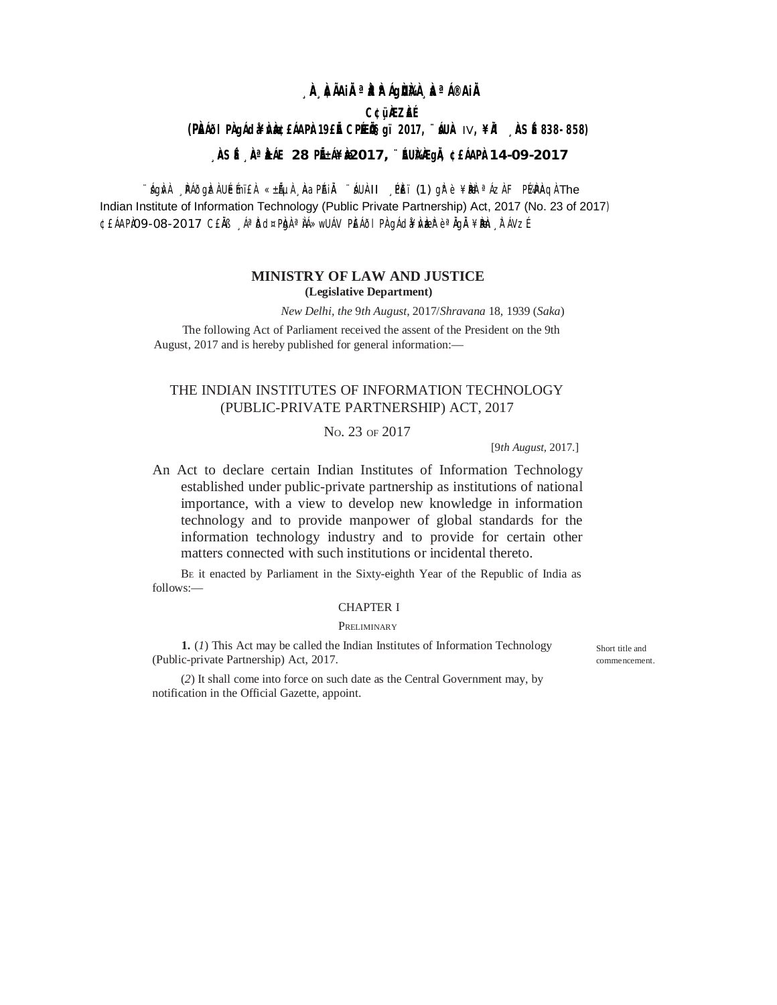# **¸ÀA¸À¢ÃAiÀÄ ªÀåªÀºÁgÀUÀ¼À ¸ÀaªÁ®AiÀÄ**

### **C¢ü¸ÀÆZÀ£É**

**(PÀ£ÁðlPÀ gÁdå¥ÀvÀæ ¢£ÁAPÀ: 19£Éà CPÉÆ Öçgï 2017, ¨sÁUÀ-** IV**, ¥ÀÄl ¸ÀASÉå: 838-858)**

# **¸ÀASÉå: ¸ÀAªÀå±ÁE 28 PÉñÁ¥Àæ 2017, ¨ÉAUÀ¼ÀÆgÀÄ, ¢£ÁAPÀ: 14-09-2017**

¨ÁgÀvÀ ÙPÁðgÌz À UÉÉmï£À «±ẤLLÀ ÙAaPlAIÀ ¨ ÁUÀ-II ¸PÈï (1) gh'è ¥ ÞÀè ªÁZÀ F P¼APAQ À The Indian Institute of Information Technology (Public Private Partnership) Act, 2017 (No. 23 of 2017) ¢£ÁAPÀO9-08-2017 C£ÀB ŪÀðd¤PÀgÀªÀÁ≫wUÁV PÈÁðIPÀ gÁdã¥Àv ÀæzÌr èªÀgÀ ¥Àðh À⊺ÁVzÉ

### **MINISTRY OF LAW AND JUSTICE (Legislative Department)**

*New Delhi, the* 9*th August,* 2017/*Shravana* 18*,* 1939 (*Saka*)

The following Act of Parliament received the assent of the President on the 9th August, 2017 and is hereby published for general information:—

# THE INDIAN INSTITUTES OF INFORMATION TECHNOLOGY (PUBLIC-PRIVATE PARTNERSHIP) ACT, 2017

## NO. 23 OF 2017

[9*th August,* 2017.]

An Act to declare certain Indian Institutes of Information Technology established under public-private partnership as institutions of national importance, with a view to develop new knowledge in information technology and to provide manpower of global standards for the information technology industry and to provide for certain other matters connected with such institutions or incidental thereto.

B<sup>E</sup> it enacted by Parliament in the Sixty-eighth Year of the Republic of India as follows:—

## CHAPTER I

#### **PRELIMINARY**

**1.** (*1*) This Act may be called the Indian Institutes of Information Technology (Public-private Partnership) Act, 2017.

(*2*) It shall come into force on such date as the Central Government may, by notification in the Official Gazette, appoint.

Short title and commencement.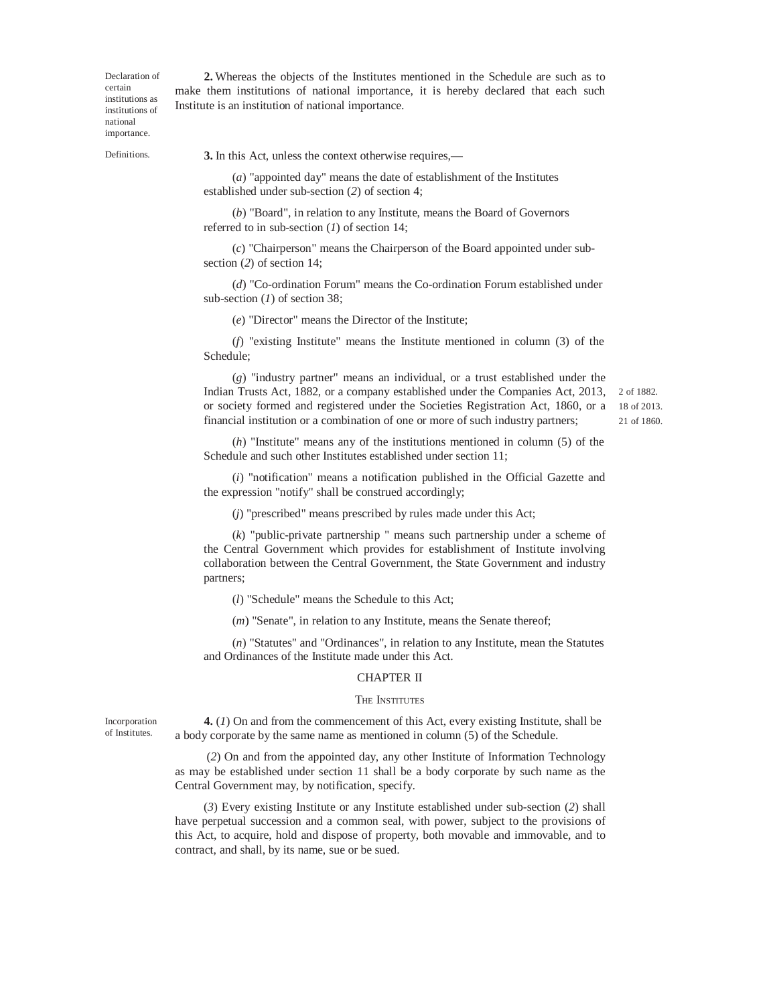Declaration of certain institutions as institutions of national importance.

**2.** Whereas the objects of the Institutes mentioned in the Schedule are such as to make them institutions of national importance, it is hereby declared that each such Institute is an institution of national importance.

Definitions.

**3.** In this Act, unless the context otherwise requires,—

(*a*) "appointed day" means the date of establishment of the Institutes established under sub-section (*2*) of section 4;

(*b*) "Board", in relation to any Institute, means the Board of Governors referred to in sub-section (*1*) of section 14;

(*c*) "Chairperson" means the Chairperson of the Board appointed under subsection (*2*) of section 14;

(*d*) "Co-ordination Forum" means the Co-ordination Forum established under sub-section (*1*) of section 38;

(*e*) "Director" means the Director of the Institute;

(*f*) "existing Institute" means the Institute mentioned in column (3) of the Schedule;

(*g*) "industry partner" means an individual, or a trust established under the Indian Trusts Act, 1882, or a company established under the Companies Act, 2013, or society formed and registered under the Societies Registration Act, 1860, or a financial institution or a combination of one or more of such industry partners;

2 of 1882. 18 of 2013. 21 of 1860.

(*h*) "Institute" means any of the institutions mentioned in column (5) of the Schedule and such other Institutes established under section 11;

(*i*) "notification" means a notification published in the Official Gazette and the expression "notify" shall be construed accordingly;

(*j*) "prescribed" means prescribed by rules made under this Act;

(*k*) "public-private partnership " means such partnership under a scheme of the Central Government which provides for establishment of Institute involving collaboration between the Central Government, the State Government and industry partners;

(*l*) "Schedule" means the Schedule to this Act;

(*m*) "Senate", in relation to any Institute, means the Senate thereof;

(*n*) "Statutes" and "Ordinances", in relation to any Institute, mean the Statutes and Ordinances of the Institute made under this Act.

#### CHAPTER II

#### THE **INSTITUTES**

Incorporation of Institutes.

**4.** (*1*) On and from the commencement of this Act, every existing Institute, shall be a body corporate by the same name as mentioned in column (5) of the Schedule.

(*2*) On and from the appointed day, any other Institute of Information Technology as may be established under section 11 shall be a body corporate by such name as the Central Government may, by notification, specify.

(*3*) Every existing Institute or any Institute established under sub-section (*2*) shall have perpetual succession and a common seal, with power, subject to the provisions of this Act, to acquire, hold and dispose of property, both movable and immovable, and to contract, and shall, by its name, sue or be sued.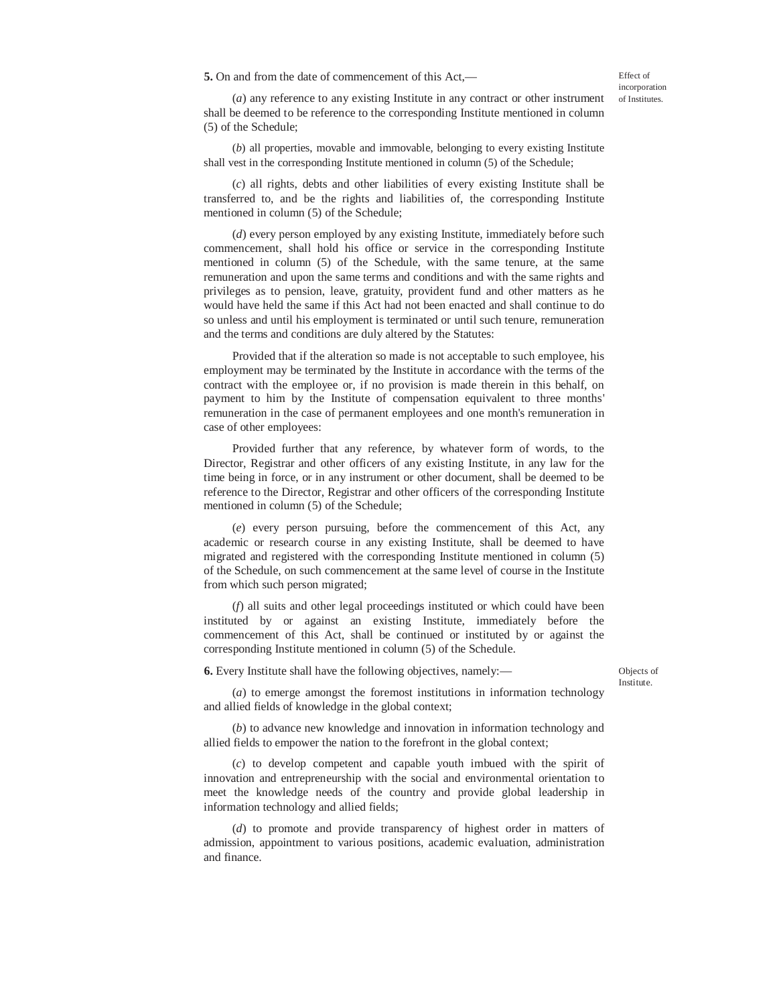**5.** On and from the date of commencement of this Act,—

Effect of incorporation of Institutes.

(*a*) any reference to any existing Institute in any contract or other instrument shall be deemed to be reference to the corresponding Institute mentioned in column (5) of the Schedule;

(*b*) all properties, movable and immovable, belonging to every existing Institute shall vest in the corresponding Institute mentioned in column (5) of the Schedule;

(*c*) all rights, debts and other liabilities of every existing Institute shall be transferred to, and be the rights and liabilities of, the corresponding Institute mentioned in column (5) of the Schedule;

(*d*) every person employed by any existing Institute, immediately before such commencement, shall hold his office or service in the corresponding Institute mentioned in column (5) of the Schedule, with the same tenure, at the same remuneration and upon the same terms and conditions and with the same rights and privileges as to pension, leave, gratuity, provident fund and other matters as he would have held the same if this Act had not been enacted and shall continue to do so unless and until his employment is terminated or until such tenure, remuneration and the terms and conditions are duly altered by the Statutes:

Provided that if the alteration so made is not acceptable to such employee, his employment may be terminated by the Institute in accordance with the terms of the contract with the employee or, if no provision is made therein in this behalf, on payment to him by the Institute of compensation equivalent to three months' remuneration in the case of permanent employees and one month's remuneration in case of other employees:

Provided further that any reference, by whatever form of words, to the Director, Registrar and other officers of any existing Institute, in any law for the time being in force, or in any instrument or other document, shall be deemed to be reference to the Director, Registrar and other officers of the corresponding Institute mentioned in column (5) of the Schedule;

(*e*) every person pursuing, before the commencement of this Act, any academic or research course in any existing Institute, shall be deemed to have migrated and registered with the corresponding Institute mentioned in column (5) of the Schedule, on such commencement at the same level of course in the Institute from which such person migrated;

(*f*) all suits and other legal proceedings instituted or which could have been instituted by or against an existing Institute, immediately before the commencement of this Act, shall be continued or instituted by or against the corresponding Institute mentioned in column (5) of the Schedule.

**6.** Every Institute shall have the following objectives, namely:—

Objects of Institute.

(*a*) to emerge amongst the foremost institutions in information technology and allied fields of knowledge in the global context;

(*b*) to advance new knowledge and innovation in information technology and allied fields to empower the nation to the forefront in the global context;

(*c*) to develop competent and capable youth imbued with the spirit of innovation and entrepreneurship with the social and environmental orientation to meet the knowledge needs of the country and provide global leadership in information technology and allied fields;

(*d*) to promote and provide transparency of highest order in matters of admission, appointment to various positions, academic evaluation, administration and finance.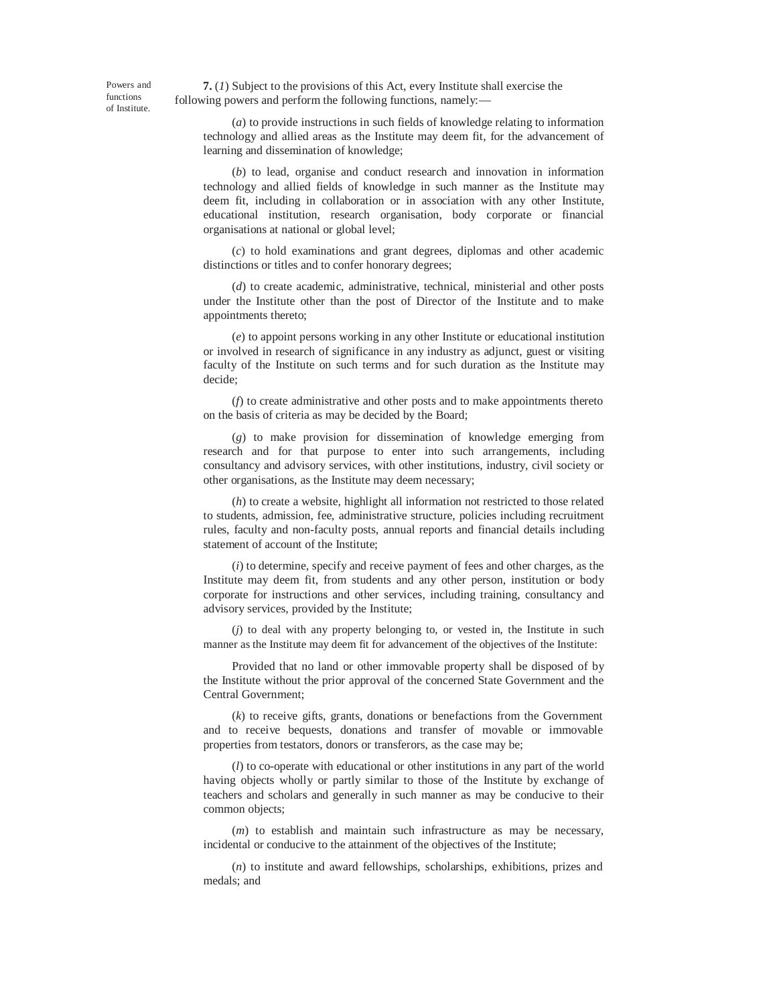Powers and functions of Institute.

**7.** (*1*) Subject to the provisions of this Act, every Institute shall exercise the following powers and perform the following functions, namely:—

(*a*) to provide instructions in such fields of knowledge relating to information technology and allied areas as the Institute may deem fit, for the advancement of learning and dissemination of knowledge;

(*b*) to lead, organise and conduct research and innovation in information technology and allied fields of knowledge in such manner as the Institute may deem fit, including in collaboration or in association with any other Institute, educational institution, research organisation, body corporate or financial organisations at national or global level;

(*c*) to hold examinations and grant degrees, diplomas and other academic distinctions or titles and to confer honorary degrees;

(*d*) to create academic, administrative, technical, ministerial and other posts under the Institute other than the post of Director of the Institute and to make appointments thereto;

(*e*) to appoint persons working in any other Institute or educational institution or involved in research of significance in any industry as adjunct, guest or visiting faculty of the Institute on such terms and for such duration as the Institute may decide;

(*f*) to create administrative and other posts and to make appointments thereto on the basis of criteria as may be decided by the Board;

(*g*) to make provision for dissemination of knowledge emerging from research and for that purpose to enter into such arrangements, including consultancy and advisory services, with other institutions, industry, civil society or other organisations, as the Institute may deem necessary;

(*h*) to create a website, highlight all information not restricted to those related to students, admission, fee, administrative structure, policies including recruitment rules, faculty and non-faculty posts, annual reports and financial details including statement of account of the Institute;

(*i*) to determine, specify and receive payment of fees and other charges, as the Institute may deem fit, from students and any other person, institution or body corporate for instructions and other services, including training, consultancy and advisory services, provided by the Institute;

(*j*) to deal with any property belonging to, or vested in, the Institute in such manner as the Institute may deem fit for advancement of the objectives of the Institute:

Provided that no land or other immovable property shall be disposed of by the Institute without the prior approval of the concerned State Government and the Central Government;

(*k*) to receive gifts, grants, donations or benefactions from the Government and to receive bequests, donations and transfer of movable or immovable properties from testators, donors or transferors, as the case may be;

(*l*) to co-operate with educational or other institutions in any part of the world having objects wholly or partly similar to those of the Institute by exchange of teachers and scholars and generally in such manner as may be conducive to their common objects;

(*m*) to establish and maintain such infrastructure as may be necessary, incidental or conducive to the attainment of the objectives of the Institute;

(*n*) to institute and award fellowships, scholarships, exhibitions, prizes and medals; and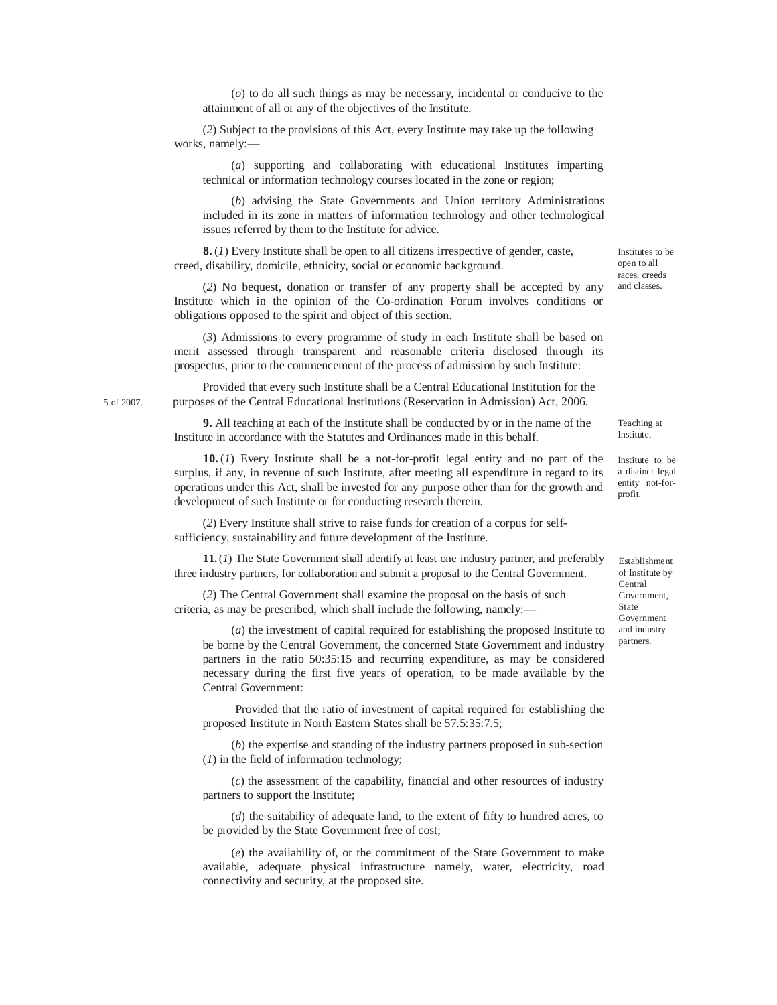(*o*) to do all such things as may be necessary, incidental or conducive to the attainment of all or any of the objectives of the Institute.

(*2*) Subject to the provisions of this Act, every Institute may take up the following works, namely:—

(*a*) supporting and collaborating with educational Institutes imparting technical or information technology courses located in the zone or region;

(*b*) advising the State Governments and Union territory Administrations included in its zone in matters of information technology and other technological issues referred by them to the Institute for advice.

**8.** (*1*) Every Institute shall be open to all citizens irrespective of gender, caste, creed, disability, domicile, ethnicity, social or economic background.

(*2*) No bequest, donation or transfer of any property shall be accepted by any Institute which in the opinion of the Co-ordination Forum involves conditions or obligations opposed to the spirit and object of this section.

(*3*) Admissions to every programme of study in each Institute shall be based on merit assessed through transparent and reasonable criteria disclosed through its prospectus, prior to the commencement of the process of admission by such Institute:

Provided that every such Institute shall be a Central Educational Institution for the 5 of 2007. purposes of the Central Educational Institutions (Reservation in Admission) Act, 2006.

> **9.** All teaching at each of the Institute shall be conducted by or in the name of the Institute in accordance with the Statutes and Ordinances made in this behalf.

**10.** (*1*) Every Institute shall be a not-for-profit legal entity and no part of the surplus, if any, in revenue of such Institute, after meeting all expenditure in regard to its operations under this Act, shall be invested for any purpose other than for the growth and development of such Institute or for conducting research therein.

(*2*) Every Institute shall strive to raise funds for creation of a corpus for selfsufficiency, sustainability and future development of the Institute.

**11.**(*1*) The State Government shall identify at least one industry partner, and preferably three industry partners, for collaboration and submit a proposal to the Central Government.

(*2*) The Central Government shall examine the proposal on the basis of such criteria, as may be prescribed, which shall include the following, namely:—

(*a*) the investment of capital required for establishing the proposed Institute to be borne by the Central Government, the concerned State Government and industry partners in the ratio 50:35:15 and recurring expenditure, as may be considered necessary during the first five years of operation, to be made available by the Central Government:

Provided that the ratio of investment of capital required for establishing the proposed Institute in North Eastern States shall be 57.5:35:7.5;

(*b*) the expertise and standing of the industry partners proposed in sub-section (*1*) in the field of information technology;

(*c*) the assessment of the capability, financial and other resources of industry partners to support the Institute;

(*d*) the suitability of adequate land, to the extent of fifty to hundred acres, to be provided by the State Government free of cost;

(*e*) the availability of, or the commitment of the State Government to make available, adequate physical infrastructure namely, water, electricity, road connectivity and security, at the proposed site.

Institute to be a distinct legal entity not-for-

profit.

Teaching at Institute.

Establishment of Institute by Central Government, State Government and industry partners.

races, creeds and classes.

Institutes to be open to all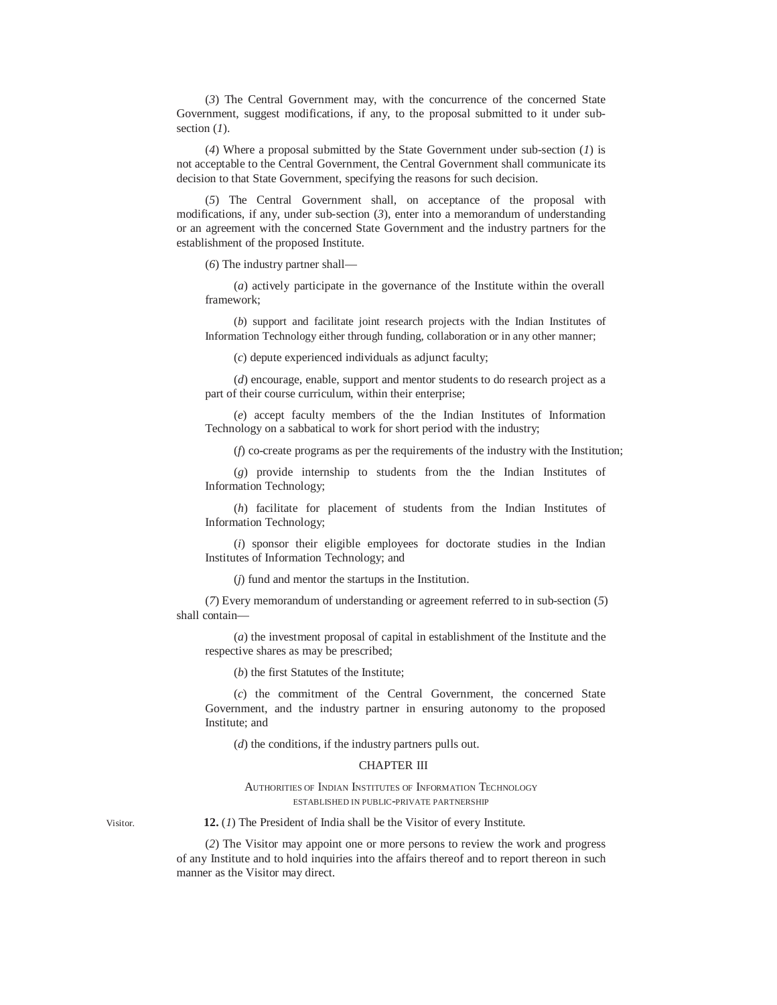(*3*) The Central Government may, with the concurrence of the concerned State Government, suggest modifications, if any, to the proposal submitted to it under subsection (*1*).

(*4*) Where a proposal submitted by the State Government under sub-section (*1*) is not acceptable to the Central Government, the Central Government shall communicate its decision to that State Government, specifying the reasons for such decision.

(*5*) The Central Government shall, on acceptance of the proposal with modifications, if any, under sub-section (*3*), enter into a memorandum of understanding or an agreement with the concerned State Government and the industry partners for the establishment of the proposed Institute.

(*6*) The industry partner shall—

(*a*) actively participate in the governance of the Institute within the overall framework;

(*b*) support and facilitate joint research projects with the Indian Institutes of Information Technology either through funding, collaboration or in any other manner;

(*c*) depute experienced individuals as adjunct faculty;

(*d*) encourage, enable, support and mentor students to do research project as a part of their course curriculum, within their enterprise;

(*e*) accept faculty members of the the Indian Institutes of Information Technology on a sabbatical to work for short period with the industry;

(*f*) co-create programs as per the requirements of the industry with the Institution;

(*g*) provide internship to students from the the Indian Institutes of Information Technology;

(*h*) facilitate for placement of students from the Indian Institutes of Information Technology;

(*i*) sponsor their eligible employees for doctorate studies in the Indian Institutes of Information Technology; and

(*j*) fund and mentor the startups in the Institution.

(*7*) Every memorandum of understanding or agreement referred to in sub-section (*5*) shall contain—

(*a*) the investment proposal of capital in establishment of the Institute and the respective shares as may be prescribed;

(*b*) the first Statutes of the Institute;

(*c*) the commitment of the Central Government, the concerned State Government, and the industry partner in ensuring autonomy to the proposed Institute; and

(*d*) the conditions, if the industry partners pulls out.

### CHAPTER III

### AUTHORITIES OF INDIAN INSTITUTES OF INFORMATION TECHNOLOGY ESTABLISHED IN PUBLIC-PRIVATE PARTNERSHIP

Visitor. **12.** (*1*) The President of India shall be the Visitor of every Institute.

(*2*) The Visitor may appoint one or more persons to review the work and progress of any Institute and to hold inquiries into the affairs thereof and to report thereon in such manner as the Visitor may direct.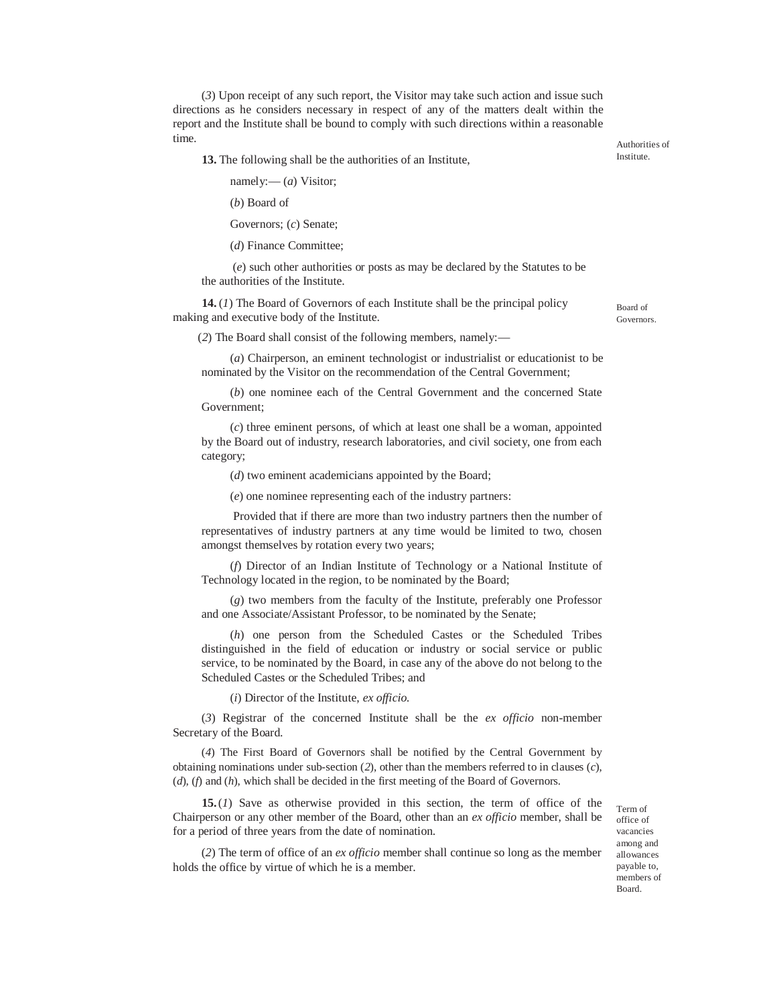(*3*) Upon receipt of any such report, the Visitor may take such action and issue such directions as he considers necessary in respect of any of the matters dealt within the report and the Institute shall be bound to comply with such directions within a reasonable time.

**13.** The following shall be the authorities of an Institute,

namely:— (*a*) Visitor;

(*b*) Board of

Governors; (*c*) Senate;

(*d*) Finance Committee;

(*e*) such other authorities or posts as may be declared by the Statutes to be the authorities of the Institute.

**14.** (*1*) The Board of Governors of each Institute shall be the principal policy making and executive body of the Institute.

Board of Governors.

Authorities of Institute.

(*2*) The Board shall consist of the following members, namely:—

(*a*) Chairperson, an eminent technologist or industrialist or educationist to be nominated by the Visitor on the recommendation of the Central Government;

(*b*) one nominee each of the Central Government and the concerned State Government;

(*c*) three eminent persons, of which at least one shall be a woman, appointed by the Board out of industry, research laboratories, and civil society, one from each category;

(*d*) two eminent academicians appointed by the Board;

(*e*) one nominee representing each of the industry partners:

Provided that if there are more than two industry partners then the number of representatives of industry partners at any time would be limited to two, chosen amongst themselves by rotation every two years;

(*f*) Director of an Indian Institute of Technology or a National Institute of Technology located in the region, to be nominated by the Board;

(*g*) two members from the faculty of the Institute, preferably one Professor and one Associate/Assistant Professor, to be nominated by the Senate;

(*h*) one person from the Scheduled Castes or the Scheduled Tribes distinguished in the field of education or industry or social service or public service, to be nominated by the Board, in case any of the above do not belong to the Scheduled Castes or the Scheduled Tribes; and

(*i*) Director of the Institute, *ex officio.*

(*3*) Registrar of the concerned Institute shall be the *ex officio* non-member Secretary of the Board.

(*4*) The First Board of Governors shall be notified by the Central Government by obtaining nominations under sub-section (*2*), other than the members referred to in clauses (*c*), (*d*), (*f*) and (*h*), which shall be decided in the first meeting of the Board of Governors.

**15.**(*1*) Save as otherwise provided in this section, the term of office of the Chairperson or any other member of the Board, other than an *ex officio* member, shall be for a period of three years from the date of nomination.

Term of office of vacancies among and allowances payable to, members of Board.

(*2*) The term of office of an *ex officio* member shall continue so long as the member holds the office by virtue of which he is a member.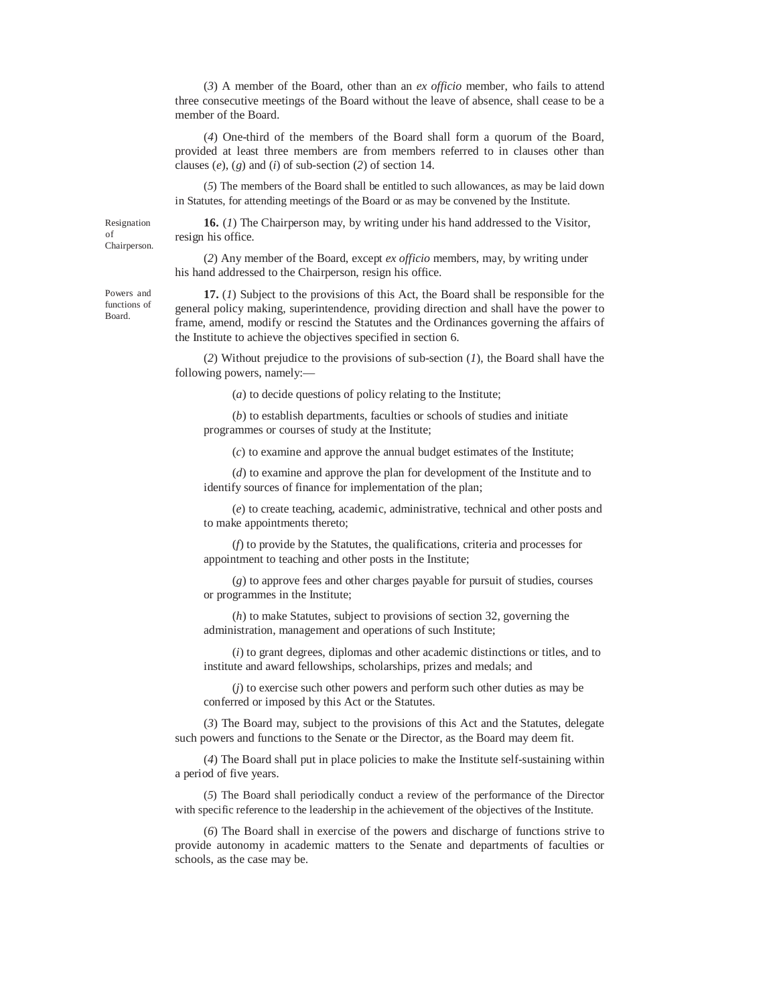(*3*) A member of the Board, other than an *ex officio* member, who fails to attend three consecutive meetings of the Board without the leave of absence, shall cease to be a member of the Board.

(*4*) One-third of the members of the Board shall form a quorum of the Board, provided at least three members are from members referred to in clauses other than clauses (*e*), (*g*) and (*i*) of sub-section (*2*) of section 14.

(*5*) The members of the Board shall be entitled to such allowances, as may be laid down in Statutes, for attending meetings of the Board or as may be convened by the Institute.

Resignation of Chairperson.

**16.** (*1*) The Chairperson may, by writing under his hand addressed to the Visitor, resign his office.

(*2*) Any member of the Board, except *ex officio* members, may, by writing under his hand addressed to the Chairperson, resign his office.

**17.** (*1*) Subject to the provisions of this Act, the Board shall be responsible for the general policy making, superintendence, providing direction and shall have the power to frame, amend, modify or rescind the Statutes and the Ordinances governing the affairs of the Institute to achieve the objectives specified in section 6.

(*2*) Without prejudice to the provisions of sub-section (*1*), the Board shall have the following powers, namely:—

(*a*) to decide questions of policy relating to the Institute;

(*b*) to establish departments, faculties or schools of studies and initiate programmes or courses of study at the Institute;

(*c*) to examine and approve the annual budget estimates of the Institute;

(*d*) to examine and approve the plan for development of the Institute and to identify sources of finance for implementation of the plan;

(*e*) to create teaching, academic, administrative, technical and other posts and to make appointments thereto;

(*f*) to provide by the Statutes, the qualifications, criteria and processes for appointment to teaching and other posts in the Institute;

(*g*) to approve fees and other charges payable for pursuit of studies, courses or programmes in the Institute;

(*h*) to make Statutes, subject to provisions of section 32, governing the administration, management and operations of such Institute;

(*i*) to grant degrees, diplomas and other academic distinctions or titles, and to institute and award fellowships, scholarships, prizes and medals; and

(*j*) to exercise such other powers and perform such other duties as may be conferred or imposed by this Act or the Statutes.

(*3*) The Board may, subject to the provisions of this Act and the Statutes, delegate such powers and functions to the Senate or the Director, as the Board may deem fit.

(*4*) The Board shall put in place policies to make the Institute self-sustaining within a period of five years.

(*5*) The Board shall periodically conduct a review of the performance of the Director with specific reference to the leadership in the achievement of the objectives of the Institute.

(*6*) The Board shall in exercise of the powers and discharge of functions strive to provide autonomy in academic matters to the Senate and departments of faculties or schools, as the case may be.

Powers and functions of Board.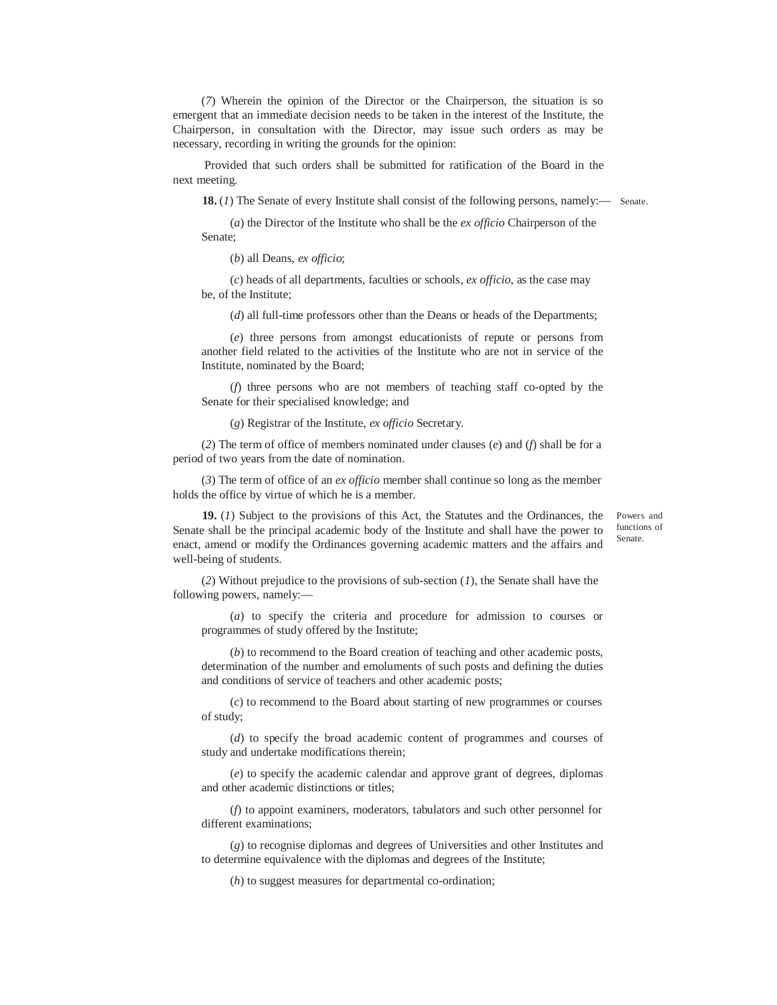(*7*) Wherein the opinion of the Director or the Chairperson, the situation is so emergent that an immediate decision needs to be taken in the interest of the Institute, the Chairperson, in consultation with the Director, may issue such orders as may be necessary, recording in writing the grounds for the opinion:

Provided that such orders shall be submitted for ratification of the Board in the next meeting.

**18.** (*1*) The Senate of every Institute shall consist of the following persons, namely:— Senate.

(*a*) the Director of the Institute who shall be the *ex officio* Chairperson of the Senate;

(*b*) all Deans, *ex officio*;

(*c*) heads of all departments, faculties or schools, *ex officio*, as the case may be, of the Institute;

(*d*) all full-time professors other than the Deans or heads of the Departments;

(*e*) three persons from amongst educationists of repute or persons from another field related to the activities of the Institute who are not in service of the Institute, nominated by the Board;

(*f*) three persons who are not members of teaching staff co-opted by the Senate for their specialised knowledge; and

(*g*) Registrar of the Institute, *ex officio* Secretary.

(*2*) The term of office of members nominated under clauses (*e*) and (*f*) shall be for a period of two years from the date of nomination.

(*3*) The term of office of an *ex officio* member shall continue so long as the member holds the office by virtue of which he is a member.

**19.** (*1*) Subject to the provisions of this Act, the Statutes and the Ordinances, the Senate shall be the principal academic body of the Institute and shall have the power to enact, amend or modify the Ordinances governing academic matters and the affairs and well-being of students.

Powers and functions of Senate.

(*2*) Without prejudice to the provisions of sub-section (*1*), the Senate shall have the following powers, namely:—

(*a*) to specify the criteria and procedure for admission to courses or programmes of study offered by the Institute;

(*b*) to recommend to the Board creation of teaching and other academic posts, determination of the number and emoluments of such posts and defining the duties and conditions of service of teachers and other academic posts;

(*c*) to recommend to the Board about starting of new programmes or courses of study;

(*d*) to specify the broad academic content of programmes and courses of study and undertake modifications therein;

(*e*) to specify the academic calendar and approve grant of degrees, diplomas and other academic distinctions or titles;

(*f*) to appoint examiners, moderators, tabulators and such other personnel for different examinations;

(*g*) to recognise diplomas and degrees of Universities and other Institutes and to determine equivalence with the diplomas and degrees of the Institute;

(*h*) to suggest measures for departmental co-ordination;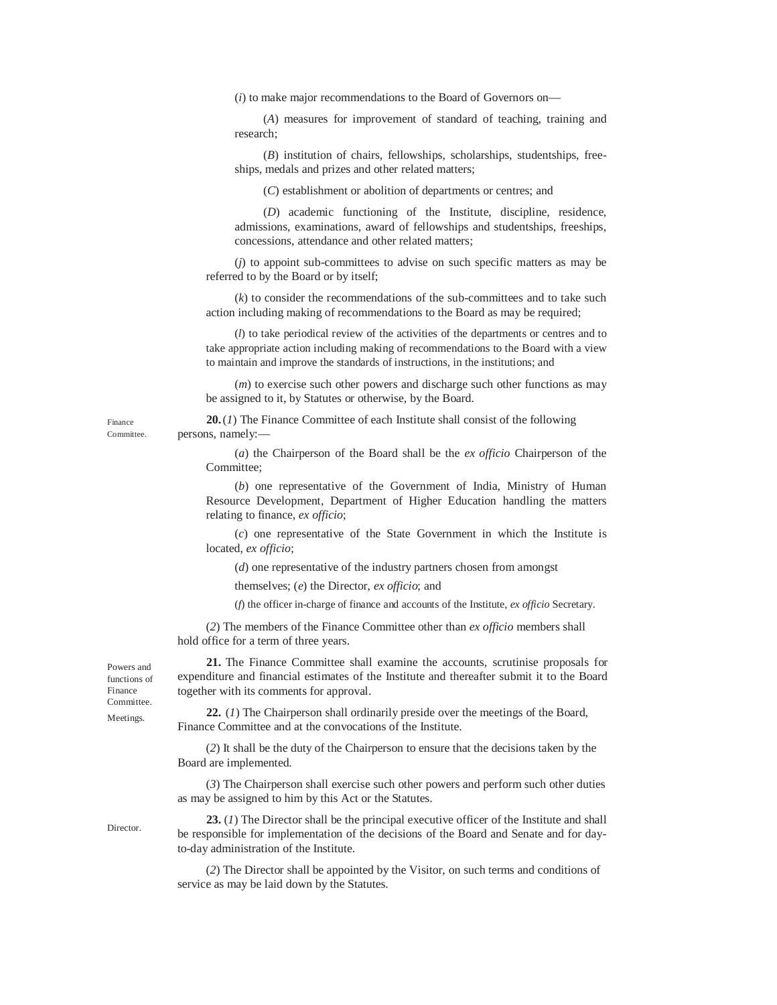(*i*) to make major recommendations to the Board of Governors on—

(*A*) measures for improvement of standard of teaching, training and research;

(*B*) institution of chairs, fellowships, scholarships, studentships, freeships, medals and prizes and other related matters;

(*C*) establishment or abolition of departments or centres; and

(*D*) academic functioning of the Institute, discipline, residence, admissions, examinations, award of fellowships and studentships, freeships, concessions, attendance and other related matters;

(*j*) to appoint sub-committees to advise on such specific matters as may be referred to by the Board or by itself;

(*k*) to consider the recommendations of the sub-committees and to take such action including making of recommendations to the Board as may be required;

(*l*) to take periodical review of the activities of the departments or centres and to take appropriate action including making of recommendations to the Board with a view to maintain and improve the standards of instructions, in the institutions; and

(*m*) to exercise such other powers and discharge such other functions as may be assigned to it, by Statutes or otherwise, by the Board.

**20.**(*1*) The Finance Committee of each Institute shall consist of the following persons, namely:—

(*a*) the Chairperson of the Board shall be the *ex officio* Chairperson of the Committee;

(*b*) one representative of the Government of India, Ministry of Human Resource Development, Department of Higher Education handling the matters relating to finance, *ex officio*;

(*c*) one representative of the State Government in which the Institute is located, *ex officio*;

(*d*) one representative of the industry partners chosen from amongst

themselves; (*e*) the Director, *ex officio*; and

(*f*) the officer in-charge of finance and accounts of the Institute, *ex officio* Secretary.

(*2*) The members of the Finance Committee other than *ex officio* members shall hold office for a term of three years.

**21.** The Finance Committee shall examine the accounts, scrutinise proposals for expenditure and financial estimates of the Institute and thereafter submit it to the Board together with its comments for approval.

**22.** (*1*) The Chairperson shall ordinarily preside over the meetings of the Board, Finance Committee and at the convocations of the Institute.

(*2*) It shall be the duty of the Chairperson to ensure that the decisions taken by the Board are implemented.

(*3*) The Chairperson shall exercise such other powers and perform such other duties as may be assigned to him by this Act or the Statutes.

**23.** (*1*) The Director shall be the principal executive officer of the Institute and shall be responsible for implementation of the decisions of the Board and Senate and for dayto-day administration of the Institute.

(*2*) The Director shall be appointed by the Visitor, on such terms and conditions of service as may be laid down by the Statutes.

Powers and functions of Finance **Committee. Meetings** 

**Director** 

Finance Committee.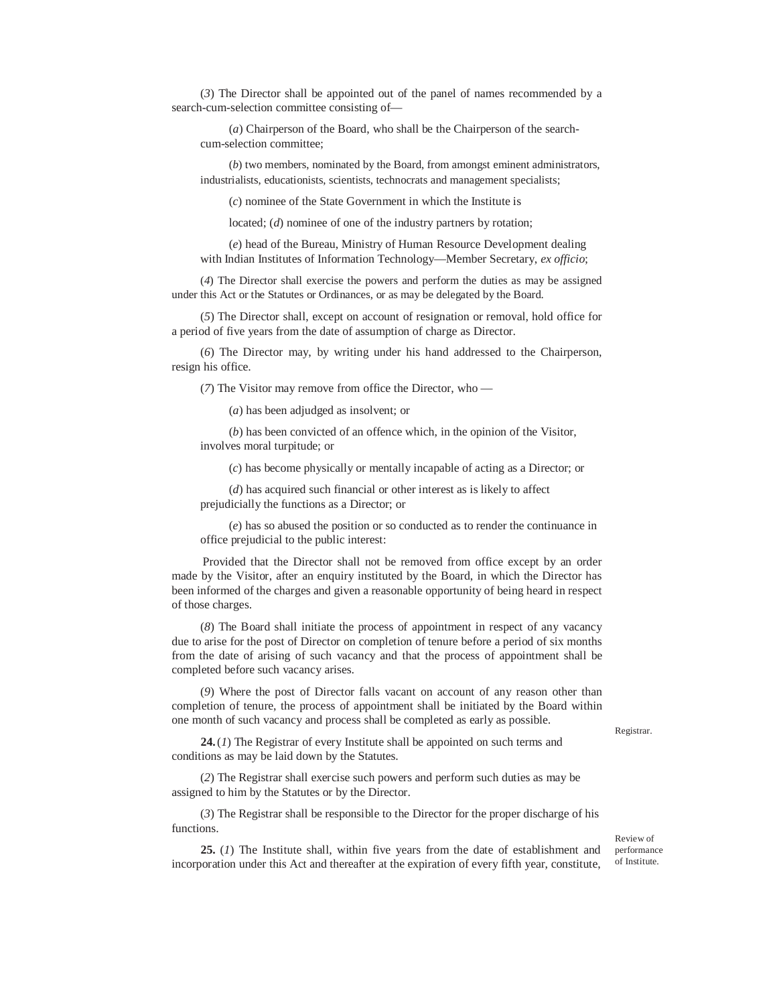(*3*) The Director shall be appointed out of the panel of names recommended by a search-cum-selection committee consisting of—

(*a*) Chairperson of the Board, who shall be the Chairperson of the searchcum-selection committee;

(*b*) two members, nominated by the Board, from amongst eminent administrators, industrialists, educationists, scientists, technocrats and management specialists;

(*c*) nominee of the State Government in which the Institute is

located; (*d*) nominee of one of the industry partners by rotation;

(*e*) head of the Bureau, Ministry of Human Resource Development dealing with Indian Institutes of Information Technology—Member Secretary, *ex officio*;

(*4*) The Director shall exercise the powers and perform the duties as may be assigned under this Act or the Statutes or Ordinances, or as may be delegated by the Board.

(*5*) The Director shall, except on account of resignation or removal, hold office for a period of five years from the date of assumption of charge as Director.

(*6*) The Director may, by writing under his hand addressed to the Chairperson, resign his office.

(*7*) The Visitor may remove from office the Director, who —

(*a*) has been adjudged as insolvent; or

(*b*) has been convicted of an offence which, in the opinion of the Visitor, involves moral turpitude; or

(*c*) has become physically or mentally incapable of acting as a Director; or

(*d*) has acquired such financial or other interest as is likely to affect prejudicially the functions as a Director; or

(*e*) has so abused the position or so conducted as to render the continuance in office prejudicial to the public interest:

Provided that the Director shall not be removed from office except by an order made by the Visitor, after an enquiry instituted by the Board, in which the Director has been informed of the charges and given a reasonable opportunity of being heard in respect of those charges.

(*8*) The Board shall initiate the process of appointment in respect of any vacancy due to arise for the post of Director on completion of tenure before a period of six months from the date of arising of such vacancy and that the process of appointment shall be completed before such vacancy arises.

(*9*) Where the post of Director falls vacant on account of any reason other than completion of tenure, the process of appointment shall be initiated by the Board within one month of such vacancy and process shall be completed as early as possible.

Registrar.

**24.**(*1*) The Registrar of every Institute shall be appointed on such terms and conditions as may be laid down by the Statutes.

(*2*) The Registrar shall exercise such powers and perform such duties as may be assigned to him by the Statutes or by the Director.

(*3*) The Registrar shall be responsible to the Director for the proper discharge of his functions.

**25.** (*1*) The Institute shall, within five years from the date of establishment and incorporation under this Act and thereafter at the expiration of every fifth year, constitute,

Review of performance of Institute.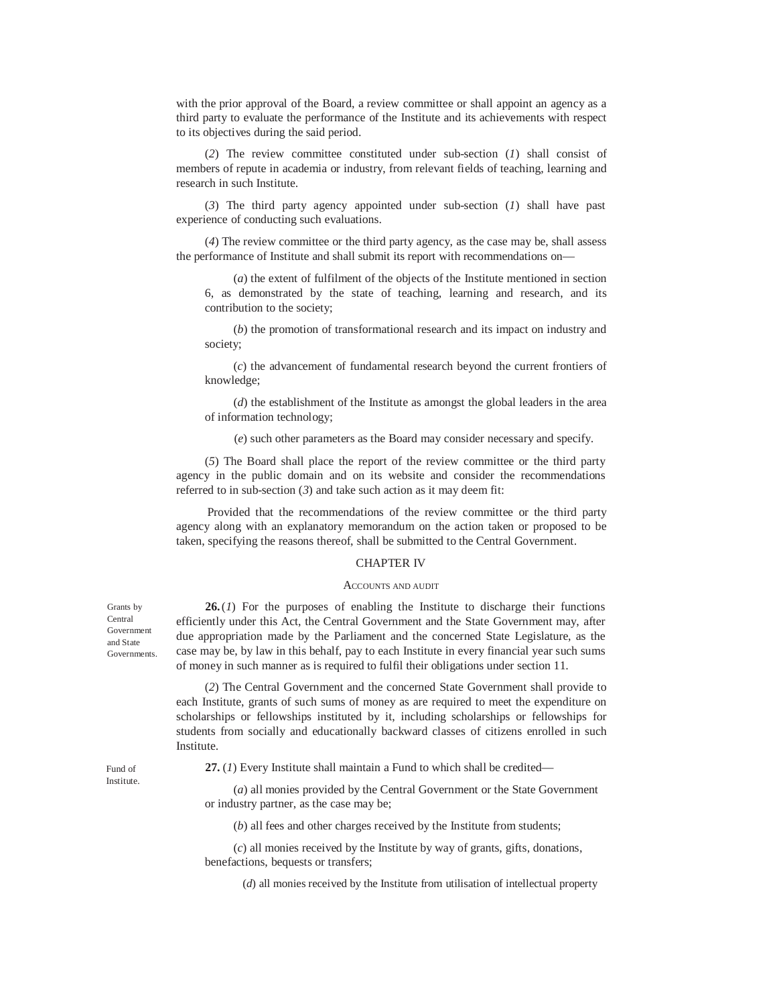with the prior approval of the Board, a review committee or shall appoint an agency as a third party to evaluate the performance of the Institute and its achievements with respect to its objectives during the said period.

(*2*) The review committee constituted under sub-section (*1*) shall consist of members of repute in academia or industry, from relevant fields of teaching, learning and research in such Institute.

(*3*) The third party agency appointed under sub-section (*1*) shall have past experience of conducting such evaluations.

(*4*) The review committee or the third party agency, as the case may be, shall assess the performance of Institute and shall submit its report with recommendations on—

(*a*) the extent of fulfilment of the objects of the Institute mentioned in section 6, as demonstrated by the state of teaching, learning and research, and its contribution to the society;

(*b*) the promotion of transformational research and its impact on industry and society;

(*c*) the advancement of fundamental research beyond the current frontiers of knowledge;

(*d*) the establishment of the Institute as amongst the global leaders in the area of information technology;

(*e*) such other parameters as the Board may consider necessary and specify.

(*5*) The Board shall place the report of the review committee or the third party agency in the public domain and on its website and consider the recommendations referred to in sub-section (*3*) and take such action as it may deem fit:

Provided that the recommendations of the review committee or the third party agency along with an explanatory memorandum on the action taken or proposed to be taken, specifying the reasons thereof, shall be submitted to the Central Government.

#### CHAPTER IV

#### ACCOUNTS AND AUDIT

**26.**(*1*) For the purposes of enabling the Institute to discharge their functions efficiently under this Act, the Central Government and the State Government may, after due appropriation made by the Parliament and the concerned State Legislature, as the case may be, by law in this behalf, pay to each Institute in every financial year such sums of money in such manner as is required to fulfil their obligations under section 11.

(*2*) The Central Government and the concerned State Government shall provide to each Institute, grants of such sums of money as are required to meet the expenditure on scholarships or fellowships instituted by it, including scholarships or fellowships for students from socially and educationally backward classes of citizens enrolled in such Institute.

Fund of Institute.

Grants by Central Government and State Governments.

**27.** (*1*) Every Institute shall maintain a Fund to which shall be credited—

(*a*) all monies provided by the Central Government or the State Government or industry partner, as the case may be;

(*b*) all fees and other charges received by the Institute from students;

(*c*) all monies received by the Institute by way of grants, gifts, donations, benefactions, bequests or transfers;

(*d*) all monies received by the Institute from utilisation of intellectual property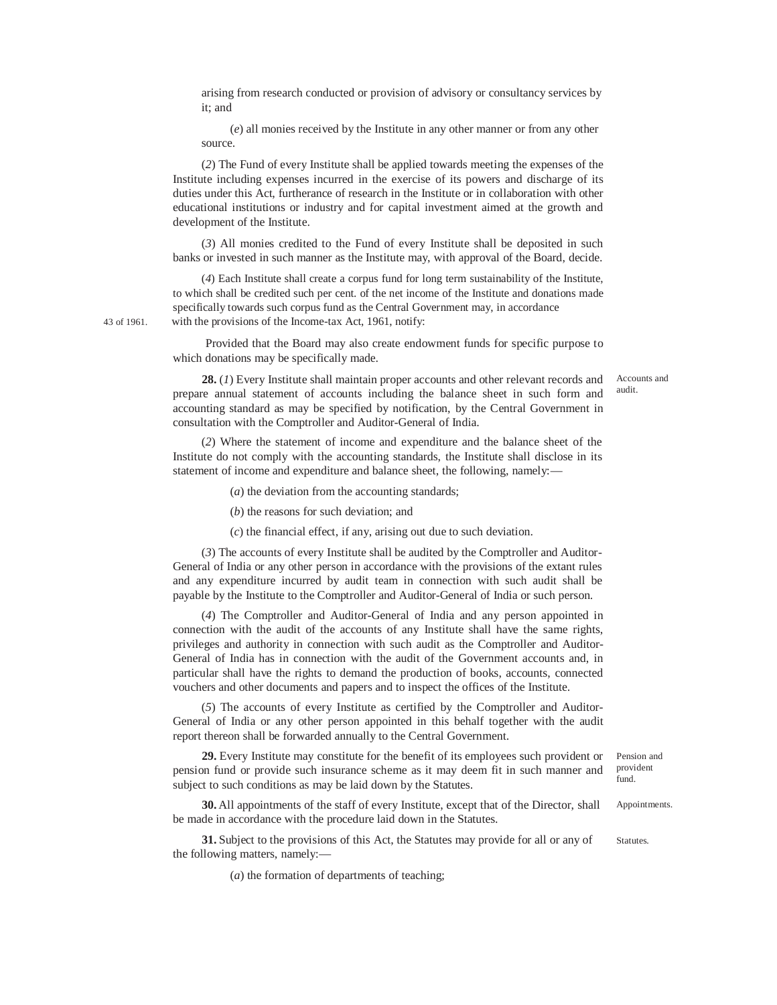arising from research conducted or provision of advisory or consultancy services by it; and

(*e*) all monies received by the Institute in any other manner or from any other source.

(*2*) The Fund of every Institute shall be applied towards meeting the expenses of the Institute including expenses incurred in the exercise of its powers and discharge of its duties under this Act, furtherance of research in the Institute or in collaboration with other educational institutions or industry and for capital investment aimed at the growth and development of the Institute.

(*3*) All monies credited to the Fund of every Institute shall be deposited in such banks or invested in such manner as the Institute may, with approval of the Board, decide.

(*4*) Each Institute shall create a corpus fund for long term sustainability of the Institute, to which shall be credited such per cent. of the net income of the Institute and donations made specifically towards such corpus fund as the Central Government may, in accordance 43 of 1961. with the provisions of the Income-tax Act, 1961, notify:

> Provided that the Board may also create endowment funds for specific purpose to which donations may be specifically made.

> **28.** (*1*) Every Institute shall maintain proper accounts and other relevant records and prepare annual statement of accounts including the balance sheet in such form and accounting standard as may be specified by notification, by the Central Government in consultation with the Comptroller and Auditor-General of India.

> (*2*) Where the statement of income and expenditure and the balance sheet of the Institute do not comply with the accounting standards, the Institute shall disclose in its statement of income and expenditure and balance sheet, the following, namely:—

> > (*a*) the deviation from the accounting standards;

(*b*) the reasons for such deviation; and

(*c*) the financial effect, if any, arising out due to such deviation.

(*3*) The accounts of every Institute shall be audited by the Comptroller and Auditor-General of India or any other person in accordance with the provisions of the extant rules and any expenditure incurred by audit team in connection with such audit shall be payable by the Institute to the Comptroller and Auditor-General of India or such person.

(*4*) The Comptroller and Auditor-General of India and any person appointed in connection with the audit of the accounts of any Institute shall have the same rights, privileges and authority in connection with such audit as the Comptroller and Auditor-General of India has in connection with the audit of the Government accounts and, in particular shall have the rights to demand the production of books, accounts, connected vouchers and other documents and papers and to inspect the offices of the Institute.

(*5*) The accounts of every Institute as certified by the Comptroller and Auditor-General of India or any other person appointed in this behalf together with the audit report thereon shall be forwarded annually to the Central Government.

**29.** Every Institute may constitute for the benefit of its employees such provident or pension fund or provide such insurance scheme as it may deem fit in such manner and subject to such conditions as may be laid down by the Statutes.

**30.** All appointments of the staff of every Institute, except that of the Director, shall be made in accordance with the procedure laid down in the Statutes.

**31.** Subject to the provisions of this Act, the Statutes may provide for all or any of the following matters, namely:—

(*a*) the formation of departments of teaching;

Accounts and audit.

Pension and provident fund.

Appointments.

Statutes.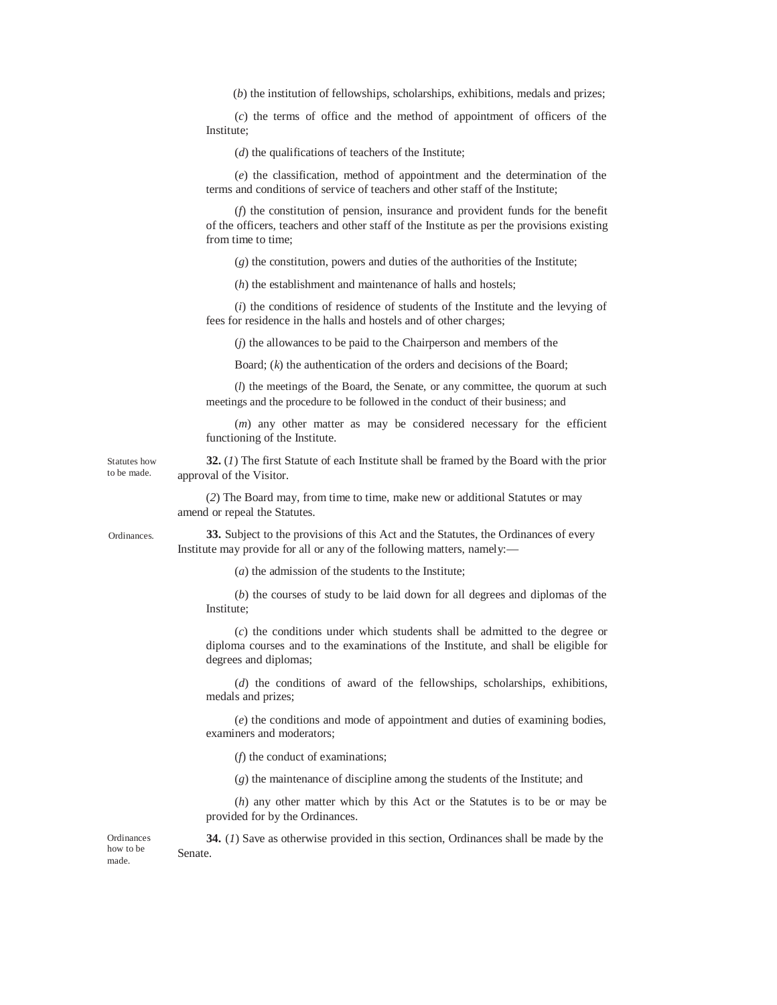(*b*) the institution of fellowships, scholarships, exhibitions, medals and prizes;

(*c*) the terms of office and the method of appointment of officers of the Institute;

(*d*) the qualifications of teachers of the Institute;

(*e*) the classification, method of appointment and the determination of the terms and conditions of service of teachers and other staff of the Institute;

(*f*) the constitution of pension, insurance and provident funds for the benefit of the officers, teachers and other staff of the Institute as per the provisions existing from time to time;

(*g*) the constitution, powers and duties of the authorities of the Institute;

(*h*) the establishment and maintenance of halls and hostels;

(*i*) the conditions of residence of students of the Institute and the levying of fees for residence in the halls and hostels and of other charges;

(*j*) the allowances to be paid to the Chairperson and members of the

Board; (*k*) the authentication of the orders and decisions of the Board;

(*l*) the meetings of the Board, the Senate, or any committee, the quorum at such meetings and the procedure to be followed in the conduct of their business; and

(*m*) any other matter as may be considered necessary for the efficient functioning of the Institute.

**32.** (*1*) The first Statute of each Institute shall be framed by the Board with the prior approval of the Visitor.

(*2*) The Board may, from time to time, make new or additional Statutes or may amend or repeal the Statutes.

Ordinances.

Statutes how to be made.

> **33.** Subject to the provisions of this Act and the Statutes, the Ordinances of every Institute may provide for all or any of the following matters, namely:—

> > (*a*) the admission of the students to the Institute;

(*b*) the courses of study to be laid down for all degrees and diplomas of the Institute;

(*c*) the conditions under which students shall be admitted to the degree or diploma courses and to the examinations of the Institute, and shall be eligible for degrees and diplomas;

(*d*) the conditions of award of the fellowships, scholarships, exhibitions, medals and prizes;

(*e*) the conditions and mode of appointment and duties of examining bodies, examiners and moderators;

(*f*) the conduct of examinations;

(*g*) the maintenance of discipline among the students of the Institute; and

(*h*) any other matter which by this Act or the Statutes is to be or may be provided for by the Ordinances.

Ordinances how to be made. **34.** (*1*) Save as otherwise provided in this section, Ordinances shall be made by the Senate.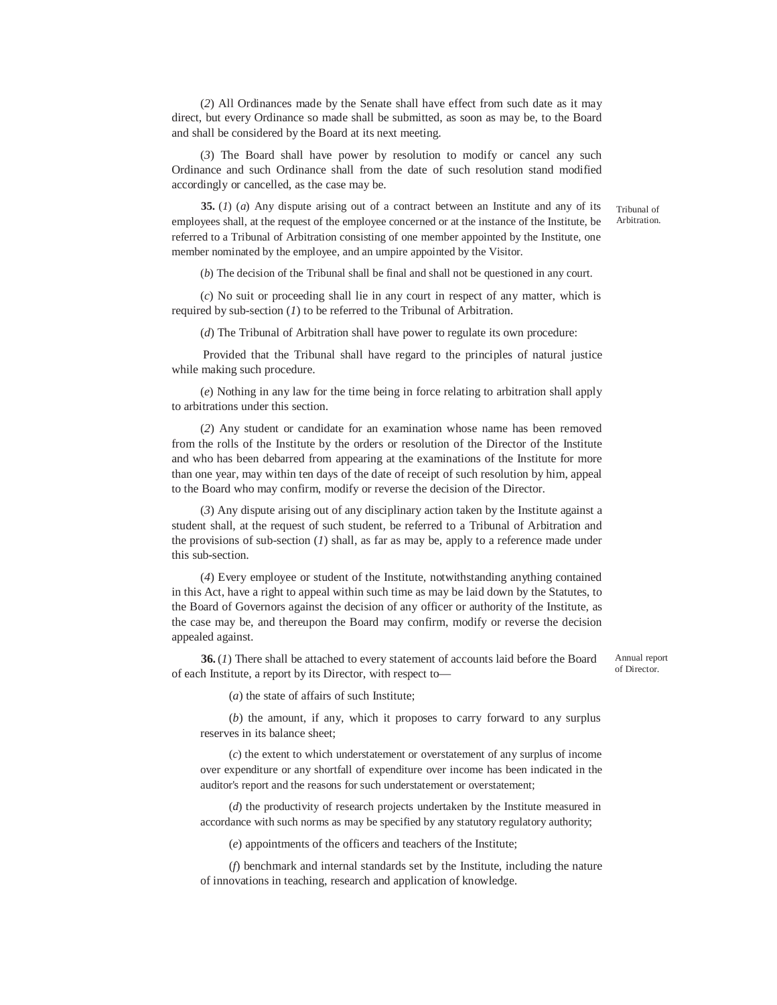(*2*) All Ordinances made by the Senate shall have effect from such date as it may direct, but every Ordinance so made shall be submitted, as soon as may be, to the Board and shall be considered by the Board at its next meeting.

(*3*) The Board shall have power by resolution to modify or cancel any such Ordinance and such Ordinance shall from the date of such resolution stand modified accordingly or cancelled, as the case may be.

**35.** (*1*) (*a*) Any dispute arising out of a contract between an Institute and any of its employees shall, at the request of the employee concerned or at the instance of the Institute, be referred to a Tribunal of Arbitration consisting of one member appointed by the Institute, one member nominated by the employee, and an umpire appointed by the Visitor.

Tribunal of Arbitration.

(*b*) The decision of the Tribunal shall be final and shall not be questioned in any court.

(*c*) No suit or proceeding shall lie in any court in respect of any matter, which is required by sub-section (*1*) to be referred to the Tribunal of Arbitration.

(*d*) The Tribunal of Arbitration shall have power to regulate its own procedure:

Provided that the Tribunal shall have regard to the principles of natural justice while making such procedure.

(*e*) Nothing in any law for the time being in force relating to arbitration shall apply to arbitrations under this section.

(*2*) Any student or candidate for an examination whose name has been removed from the rolls of the Institute by the orders or resolution of the Director of the Institute and who has been debarred from appearing at the examinations of the Institute for more than one year, may within ten days of the date of receipt of such resolution by him, appeal to the Board who may confirm, modify or reverse the decision of the Director.

(*3*) Any dispute arising out of any disciplinary action taken by the Institute against a student shall, at the request of such student, be referred to a Tribunal of Arbitration and the provisions of sub-section (*1*) shall, as far as may be, apply to a reference made under this sub-section.

(*4*) Every employee or student of the Institute, notwithstanding anything contained in this Act, have a right to appeal within such time as may be laid down by the Statutes, to the Board of Governors against the decision of any officer or authority of the Institute, as the case may be, and thereupon the Board may confirm, modify or reverse the decision appealed against.

**36.**(*1*) There shall be attached to every statement of accounts laid before the Board of each Institute, a report by its Director, with respect to—

Annual report of Director.

(*a*) the state of affairs of such Institute;

(*b*) the amount, if any, which it proposes to carry forward to any surplus reserves in its balance sheet;

(*c*) the extent to which understatement or overstatement of any surplus of income over expenditure or any shortfall of expenditure over income has been indicated in the auditor's report and the reasons for such understatement or overstatement;

(*d*) the productivity of research projects undertaken by the Institute measured in accordance with such norms as may be specified by any statutory regulatory authority;

(*e*) appointments of the officers and teachers of the Institute;

(*f*) benchmark and internal standards set by the Institute, including the nature of innovations in teaching, research and application of knowledge.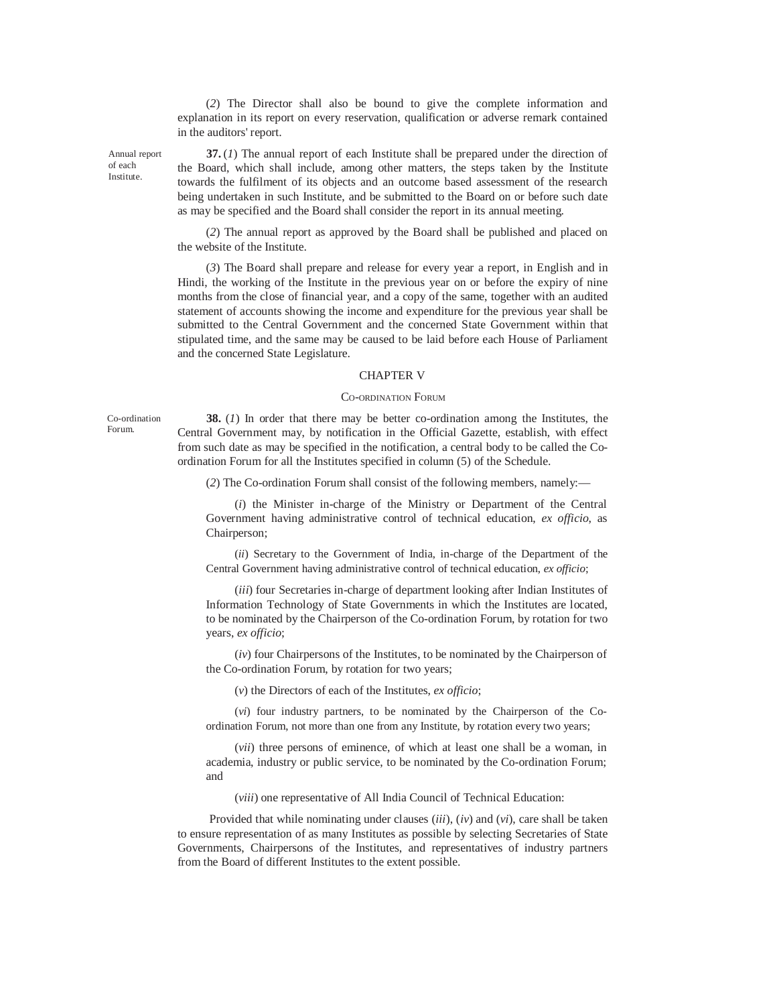(*2*) The Director shall also be bound to give the complete information and explanation in its report on every reservation, qualification or adverse remark contained in the auditors' report.

Annual report of each Institute.

**37.** (*1*) The annual report of each Institute shall be prepared under the direction of the Board, which shall include, among other matters, the steps taken by the Institute towards the fulfilment of its objects and an outcome based assessment of the research being undertaken in such Institute, and be submitted to the Board on or before such date as may be specified and the Board shall consider the report in its annual meeting.

(*2*) The annual report as approved by the Board shall be published and placed on the website of the Institute.

(*3*) The Board shall prepare and release for every year a report, in English and in Hindi, the working of the Institute in the previous year on or before the expiry of nine months from the close of financial year, and a copy of the same, together with an audited statement of accounts showing the income and expenditure for the previous year shall be submitted to the Central Government and the concerned State Government within that stipulated time, and the same may be caused to be laid before each House of Parliament and the concerned State Legislature.

### CHAPTER V

### CO-ORDINATION FORUM

Co-ordination Forum.

**38.** (*1*) In order that there may be better co-ordination among the Institutes, the Central Government may, by notification in the Official Gazette, establish, with effect from such date as may be specified in the notification, a central body to be called the Coordination Forum for all the Institutes specified in column (5) of the Schedule.

(*2*) The Co-ordination Forum shall consist of the following members, namely:—

(*i*) the Minister in-charge of the Ministry or Department of the Central Government having administrative control of technical education, *ex officio*, as Chairperson;

(*ii*) Secretary to the Government of India, in-charge of the Department of the Central Government having administrative control of technical education, *ex officio*;

(*iii*) four Secretaries in-charge of department looking after Indian Institutes of Information Technology of State Governments in which the Institutes are located, to be nominated by the Chairperson of the Co-ordination Forum, by rotation for two years, *ex officio*;

(*iv*) four Chairpersons of the Institutes, to be nominated by the Chairperson of the Co-ordination Forum, by rotation for two years;

(*v*) the Directors of each of the Institutes, *ex officio*;

(*vi*) four industry partners, to be nominated by the Chairperson of the Coordination Forum, not more than one from any Institute, by rotation every two years;

(*vii*) three persons of eminence, of which at least one shall be a woman, in academia, industry or public service, to be nominated by the Co-ordination Forum; and

(*viii*) one representative of All India Council of Technical Education:

Provided that while nominating under clauses (*iii*), (*iv*) and (*vi*), care shall be taken to ensure representation of as many Institutes as possible by selecting Secretaries of State Governments, Chairpersons of the Institutes, and representatives of industry partners from the Board of different Institutes to the extent possible.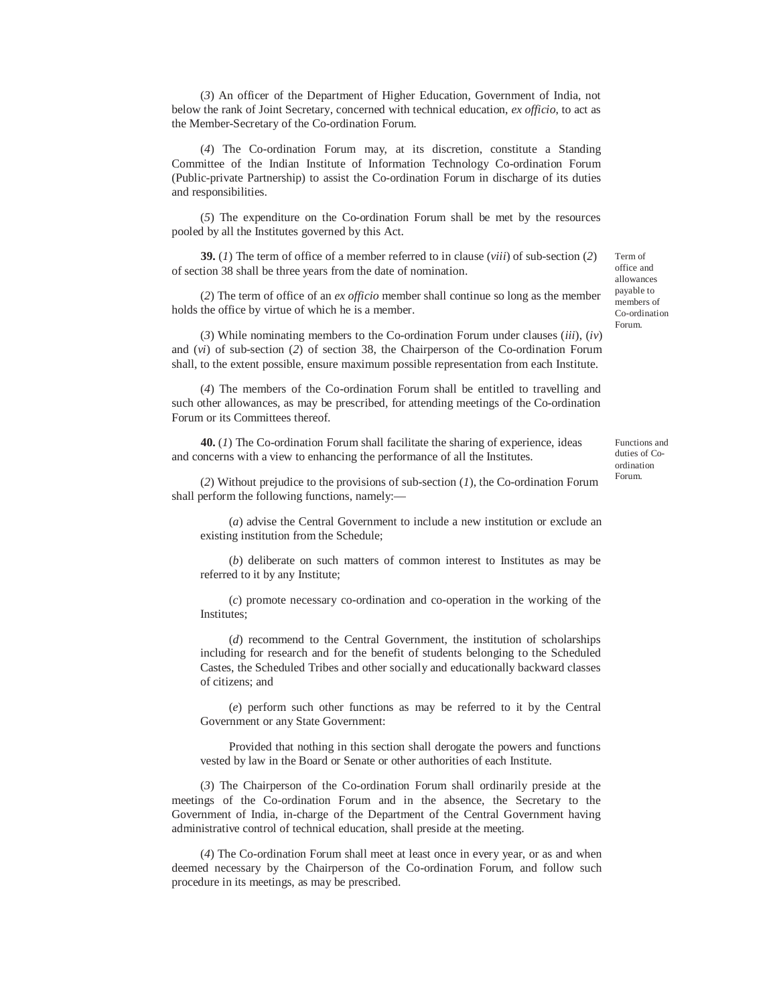(*3*) An officer of the Department of Higher Education, Government of India, not below the rank of Joint Secretary, concerned with technical education, *ex officio*, to act as the Member-Secretary of the Co-ordination Forum.

(*4*) The Co-ordination Forum may, at its discretion, constitute a Standing Committee of the Indian Institute of Information Technology Co-ordination Forum (Public-private Partnership) to assist the Co-ordination Forum in discharge of its duties and responsibilities.

(*5*) The expenditure on the Co-ordination Forum shall be met by the resources pooled by all the Institutes governed by this Act.

**39.** (*1*) The term of office of a member referred to in clause (*viii*) of sub-section (*2*) of section 38 shall be three years from the date of nomination.

(*2*) The term of office of an *ex officio* member shall continue so long as the member holds the office by virtue of which he is a member.

(*3*) While nominating members to the Co-ordination Forum under clauses (*iii*), (*iv*) and (*vi*) of sub-section (*2*) of section 38, the Chairperson of the Co-ordination Forum shall, to the extent possible, ensure maximum possible representation from each Institute.

(*4*) The members of the Co-ordination Forum shall be entitled to travelling and such other allowances, as may be prescribed, for attending meetings of the Co-ordination Forum or its Committees thereof.

**40.** (*1*) The Co-ordination Forum shall facilitate the sharing of experience, ideas and concerns with a view to enhancing the performance of all the Institutes.

(*2*) Without prejudice to the provisions of sub-section (*1*), the Co-ordination Forum shall perform the following functions, namely:—

(*a*) advise the Central Government to include a new institution or exclude an existing institution from the Schedule;

(*b*) deliberate on such matters of common interest to Institutes as may be referred to it by any Institute;

(*c*) promote necessary co-ordination and co-operation in the working of the Institutes;

(*d*) recommend to the Central Government, the institution of scholarships including for research and for the benefit of students belonging to the Scheduled Castes, the Scheduled Tribes and other socially and educationally backward classes of citizens; and

(*e*) perform such other functions as may be referred to it by the Central Government or any State Government:

Provided that nothing in this section shall derogate the powers and functions vested by law in the Board or Senate or other authorities of each Institute.

(*3*) The Chairperson of the Co-ordination Forum shall ordinarily preside at the meetings of the Co-ordination Forum and in the absence, the Secretary to the Government of India, in-charge of the Department of the Central Government having administrative control of technical education, shall preside at the meeting.

(*4*) The Co-ordination Forum shall meet at least once in every year, or as and when deemed necessary by the Chairperson of the Co-ordination Forum, and follow such procedure in its meetings, as may be prescribed.

Term of office and allowances payable to members of Co-ordination Forum.

Functions and duties of Coordination Forum.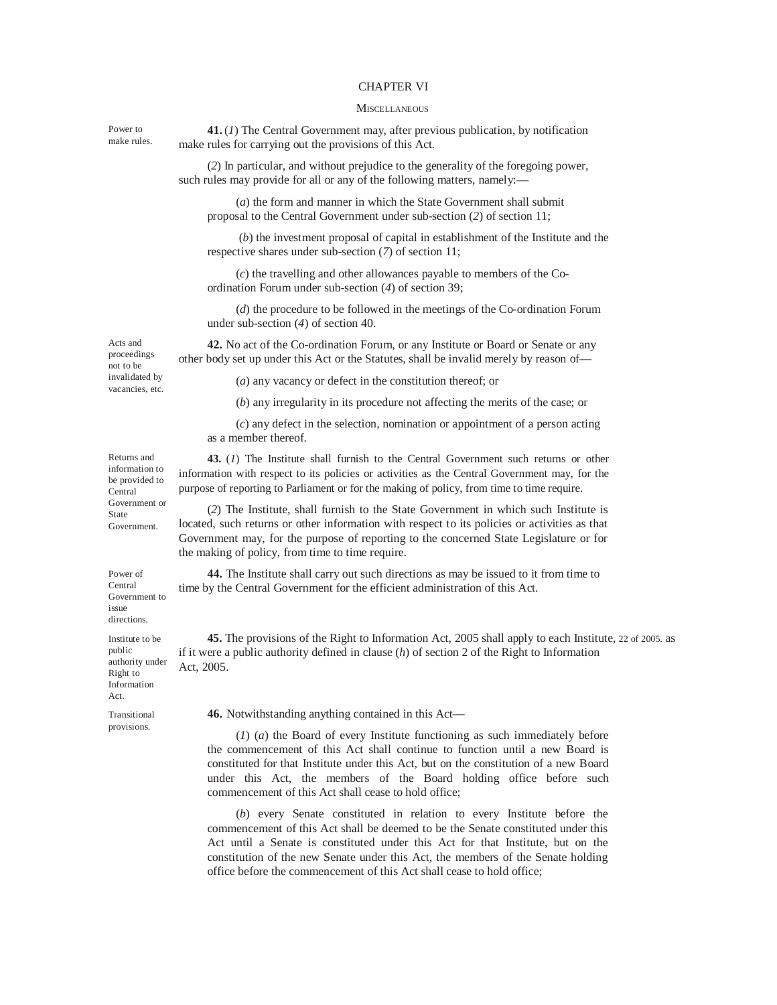#### CHAPTER VI

#### **MISCELLANEOUS**

**41.**(*1*) The Central Government may, after previous publication, by notification make rules for carrying out the provisions of this Act.

(*2*) In particular, and without prejudice to the generality of the foregoing power, such rules may provide for all or any of the following matters, namely:—

(*a*) the form and manner in which the State Government shall submit proposal to the Central Government under sub-section (*2*) of section 11;

(*b*) the investment proposal of capital in establishment of the Institute and the respective shares under sub-section (*7*) of section 11;

(*c*) the travelling and other allowances payable to members of the Coordination Forum under sub-section (*4*) of section 39;

(*d*) the procedure to be followed in the meetings of the Co-ordination Forum under sub-section (*4*) of section 40.

**42.** No act of the Co-ordination Forum, or any Institute or Board or Senate or any other body set up under this Act or the Statutes, shall be invalid merely by reason of—

proceedings not to be invalidated by vacancies, etc.

Acts and

Power to make rules.

(*a*) any vacancy or defect in the constitution thereof; or

(*b*) any irregularity in its procedure not affecting the merits of the case; or

(*c*) any defect in the selection, nomination or appointment of a person acting as a member thereof.

**43.** (*1*) The Institute shall furnish to the Central Government such returns or other information with respect to its policies or activities as the Central Government may, for the purpose of reporting to Parliament or for the making of policy, from time to time require.

(*2*) The Institute, shall furnish to the State Government in which such Institute is located, such returns or other information with respect to its policies or activities as that Government may, for the purpose of reporting to the concerned State Legislature or for the making of policy, from time to time require.

**44.** The Institute shall carry out such directions as may be issued to it from time to time by the Central Government for the efficient administration of this Act.

authority under **45.** The provisions of the Right to Information Act, 2005 shall apply to each Institute, 22 of 2005. as if it were a public authority defined in clause (*h*) of section 2 of the Right to Information Act, 2005.

Transitional provisions.

Right to Information Act.

**46.** Notwithstanding anything contained in this Act—

(*1*) (*a*) the Board of every Institute functioning as such immediately before the commencement of this Act shall continue to function until a new Board is constituted for that Institute under this Act, but on the constitution of a new Board under this Act, the members of the Board holding office before such commencement of this Act shall cease to hold office;

(*b*) every Senate constituted in relation to every Institute before the commencement of this Act shall be deemed to be the Senate constituted under this Act until a Senate is constituted under this Act for that Institute, but on the constitution of the new Senate under this Act, the members of the Senate holding office before the commencement of this Act shall cease to hold office;

Returns and information to be provided to Central Government or State Government.

Power of Central Government to issue directions. Institute to be public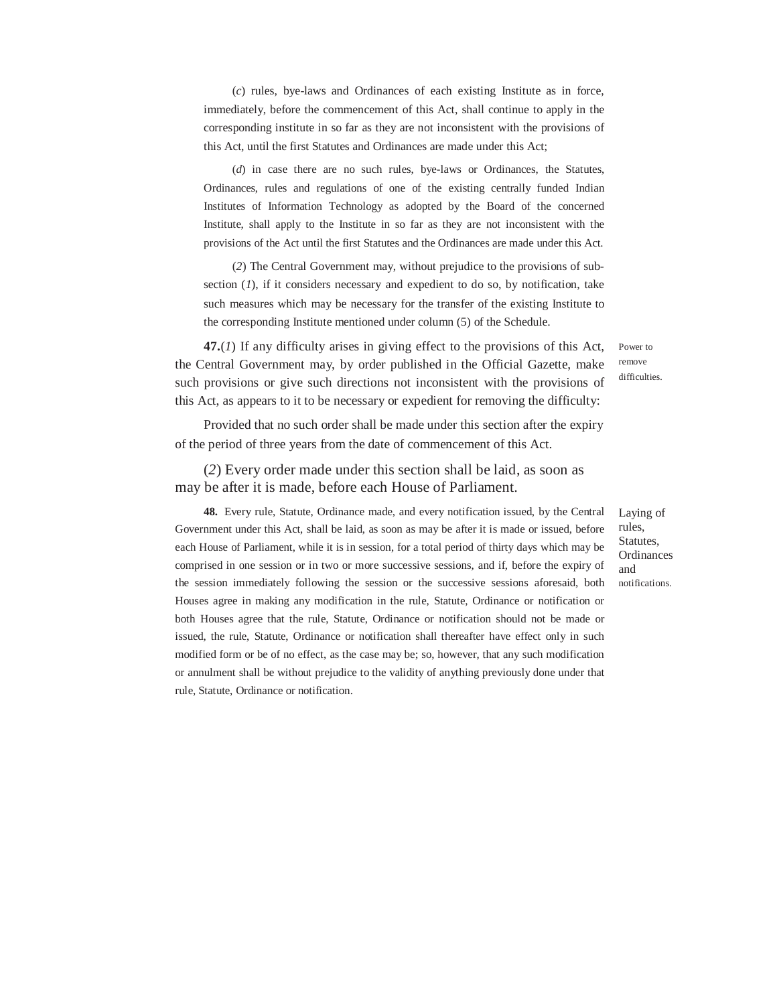(*c*) rules, bye-laws and Ordinances of each existing Institute as in force, immediately, before the commencement of this Act, shall continue to apply in the corresponding institute in so far as they are not inconsistent with the provisions of this Act, until the first Statutes and Ordinances are made under this Act;

(*d*) in case there are no such rules, bye-laws or Ordinances, the Statutes, Ordinances, rules and regulations of one of the existing centrally funded Indian Institutes of Information Technology as adopted by the Board of the concerned Institute, shall apply to the Institute in so far as they are not inconsistent with the provisions of the Act until the first Statutes and the Ordinances are made under this Act.

(*2*) The Central Government may, without prejudice to the provisions of subsection (*1*), if it considers necessary and expedient to do so, by notification, take such measures which may be necessary for the transfer of the existing Institute to the corresponding Institute mentioned under column (5) of the Schedule.

**47.**(*1*) If any difficulty arises in giving effect to the provisions of this Act, the Central Government may, by order published in the Official Gazette, make such provisions or give such directions not inconsistent with the provisions of this Act, as appears to it to be necessary or expedient for removing the difficulty:

Power to remove difficulties.

Provided that no such order shall be made under this section after the expiry of the period of three years from the date of commencement of this Act.

(*2*) Every order made under this section shall be laid, as soon as may be after it is made, before each House of Parliament.

**48.** Every rule, Statute, Ordinance made, and every notification issued, by the Central Government under this Act, shall be laid, as soon as may be after it is made or issued, before each House of Parliament, while it is in session, for a total period of thirty days which may be comprised in one session or in two or more successive sessions, and if, before the expiry of the session immediately following the session or the successive sessions aforesaid, both Houses agree in making any modification in the rule, Statute, Ordinance or notification or both Houses agree that the rule, Statute, Ordinance or notification should not be made or issued, the rule, Statute, Ordinance or notification shall thereafter have effect only in such modified form or be of no effect, as the case may be; so, however, that any such modification or annulment shall be without prejudice to the validity of anything previously done under that rule, Statute, Ordinance or notification.

Laying of rules, Statutes, **Ordinances** and notifications.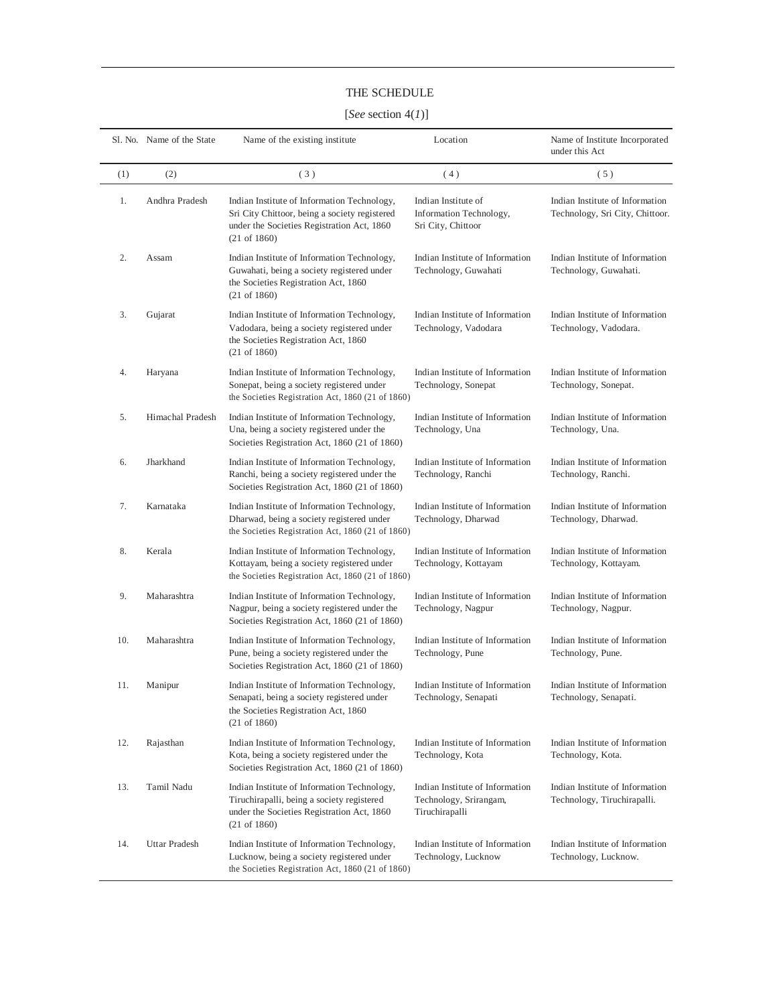## THE SCHEDULE

# [*See* section 4(*1*)]

|     | S1. No. Name of the State | Name of the existing institute                                                                                                                                        | Location                                                                    | Name of Institute Incorporated<br>under this Act                   |
|-----|---------------------------|-----------------------------------------------------------------------------------------------------------------------------------------------------------------------|-----------------------------------------------------------------------------|--------------------------------------------------------------------|
| (1) | (2)                       | (3)                                                                                                                                                                   | (4)                                                                         | (5)                                                                |
| 1.  | Andhra Pradesh            | Indian Institute of Information Technology,<br>Sri City Chittoor, being a society registered<br>under the Societies Registration Act, 1860<br>$(21 \text{ of } 1860)$ | Indian Institute of<br>Information Technology,<br>Sri City, Chittoor        | Indian Institute of Information<br>Technology, Sri City, Chittoor. |
| 2.  | Assam                     | Indian Institute of Information Technology,<br>Guwahati, being a society registered under<br>the Societies Registration Act, 1860<br>$(21 \text{ of } 1860)$          | Indian Institute of Information<br>Technology, Guwahati                     | Indian Institute of Information<br>Technology, Guwahati.           |
| 3.  | Gujarat                   | Indian Institute of Information Technology,<br>Vadodara, being a society registered under<br>the Societies Registration Act, 1860<br>$(21 \text{ of } 1860)$          | Indian Institute of Information<br>Technology, Vadodara                     | Indian Institute of Information<br>Technology, Vadodara.           |
| 4.  | Haryana                   | Indian Institute of Information Technology,<br>Sonepat, being a society registered under<br>the Societies Registration Act, 1860 (21 of 1860)                         | Indian Institute of Information<br>Technology, Sonepat                      | Indian Institute of Information<br>Technology, Sonepat.            |
| 5.  | Himachal Pradesh          | Indian Institute of Information Technology,<br>Una, being a society registered under the<br>Societies Registration Act, 1860 (21 of 1860)                             | Indian Institute of Information<br>Technology, Una                          | Indian Institute of Information<br>Technology, Una.                |
| 6.  | Jharkhand                 | Indian Institute of Information Technology,<br>Ranchi, being a society registered under the<br>Societies Registration Act, 1860 (21 of 1860)                          | Indian Institute of Information<br>Technology, Ranchi                       | Indian Institute of Information<br>Technology, Ranchi.             |
| 7.  | Karnataka                 | Indian Institute of Information Technology,<br>Dharwad, being a society registered under<br>the Societies Registration Act, 1860 (21 of 1860)                         | Indian Institute of Information<br>Technology, Dharwad                      | Indian Institute of Information<br>Technology, Dharwad.            |
| 8.  | Kerala                    | Indian Institute of Information Technology,<br>Kottayam, being a society registered under<br>the Societies Registration Act, 1860 (21 of 1860)                        | Indian Institute of Information<br>Technology, Kottayam                     | Indian Institute of Information<br>Technology, Kottayam.           |
| 9.  | Maharashtra               | Indian Institute of Information Technology,<br>Nagpur, being a society registered under the<br>Societies Registration Act, 1860 (21 of 1860)                          | Indian Institute of Information<br>Technology, Nagpur                       | Indian Institute of Information<br>Technology, Nagpur.             |
| 10. | Maharashtra               | Indian Institute of Information Technology,<br>Pune, being a society registered under the<br>Societies Registration Act, 1860 (21 of 1860)                            | Indian Institute of Information<br>Technology, Pune                         | Indian Institute of Information<br>Technology, Pune.               |
| 11. | Manipur                   | Indian Institute of Information Technology,<br>Senapati, being a society registered under<br>the Societies Registration Act, 1860<br>$(21 \text{ of } 1860)$          | Indian Institute of Information<br>Technology, Senapati                     | Indian Institute of Information<br>Technology, Senapati.           |
| 12. | Rajasthan                 | Indian Institute of Information Technology,<br>Kota, being a society registered under the<br>Societies Registration Act, 1860 (21 of 1860)                            | Indian Institute of Information<br>Technology, Kota                         | Indian Institute of Information<br>Technology, Kota.               |
| 13. | Tamil Nadu                | Indian Institute of Information Technology,<br>Tiruchirapalli, being a society registered<br>under the Societies Registration Act, 1860<br>$(21 \text{ of } 1860)$    | Indian Institute of Information<br>Technology, Srirangam,<br>Tiruchirapalli | Indian Institute of Information<br>Technology, Tiruchirapalli.     |
| 14. | <b>Uttar Pradesh</b>      | Indian Institute of Information Technology,<br>Lucknow, being a society registered under<br>the Societies Registration Act, 1860 (21 of 1860)                         | Indian Institute of Information<br>Technology, Lucknow                      | Indian Institute of Information<br>Technology, Lucknow.            |